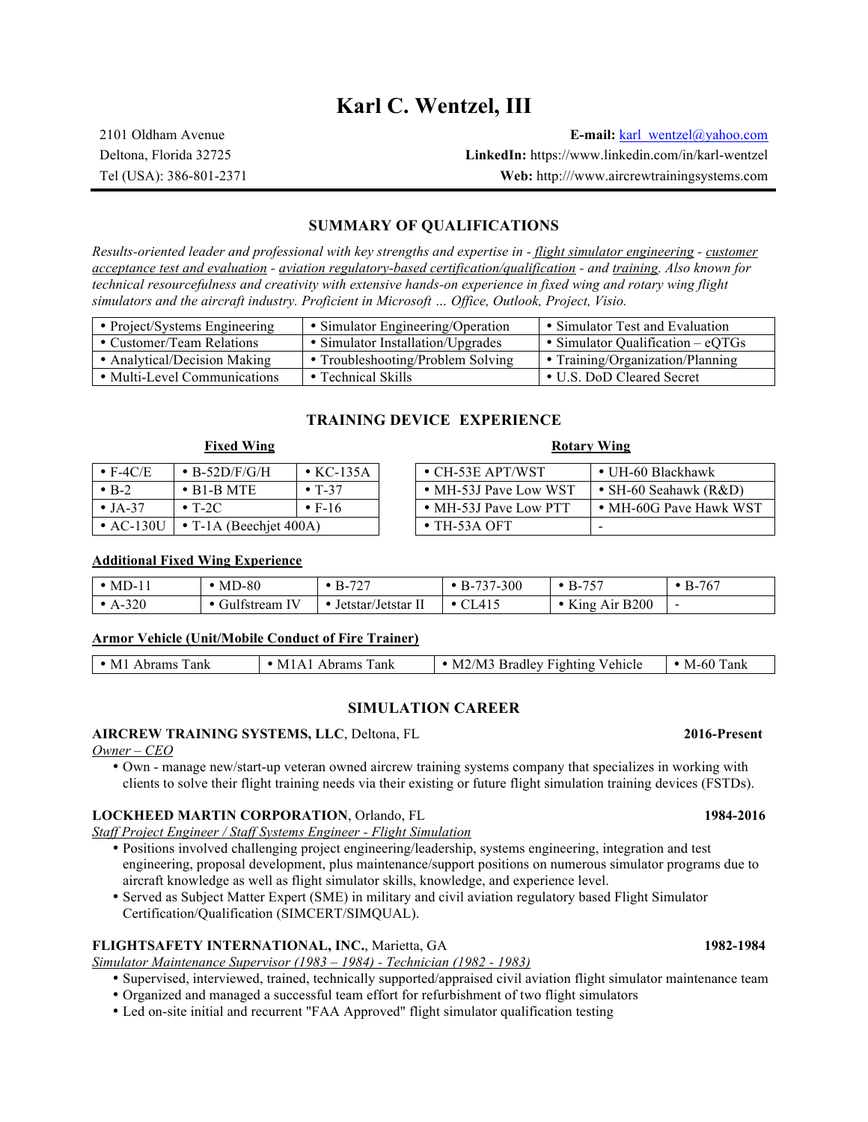# **Karl C. Wentzel, III**

2101 Oldham Avenue **E-mail:** karl\_wentzel@yahoo.com Deltona, Florida 32725 **LinkedIn:** https://www.linkedin.com/in/karl-wentzel Tel (USA): 386-801-2371 **Web:** http:///www.aircrewtrainingsystems.com

### **SUMMARY OF QUALIFICATIONS**

*Results-oriented leader and professional with key strengths and expertise in - flight simulator engineering - customer acceptance test and evaluation - aviation regulatory-based certification/qualification - and training. Also known for technical resourcefulness and creativity with extensive hands-on experience in fixed wing and rotary wing flight simulators and the aircraft industry. Proficient in Microsoft … Office, Outlook, Project, Visio.*

| • Project/Systems Engineering | • Simulator Engineering/Operation | • Simulator Test and Evaluation     |
|-------------------------------|-----------------------------------|-------------------------------------|
| • Customer/Team Relations     | • Simulator Installation/Upgrades | • Simulator Qualification $-$ eQTGs |
| • Analytical/Decision Making  | • Troubleshooting/Problem Solving | • Training/Organization/Planning    |
| • Multi-Level Communications  | $\bullet$ Technical Skills        | • U.S. DoD Cleared Secret           |

### **TRAINING DEVICE EXPERIENCE**

# **Fixed Wing Rotary Wing**

| $\bullet$ F-4C/E | $\cdot$ B-52D/F/G/H                         | $\cdot$ KC-135A            | $\bullet$ CH-53E APT/WST |  |
|------------------|---------------------------------------------|----------------------------|--------------------------|--|
| $\cdot$ R-2      | $\bullet$ B1-B MTE                          | $\bullet$ T <sub>-37</sub> | • MH-53J Pave Low WST    |  |
| $\bullet$ TA-37  | $\bullet$ T-2C                              | $\cdot$ F-16               | • MH-53J Pave Low PTT    |  |
|                  | • AC-130U $\mid \cdot$ T-1A (Beechiet 400A) |                            | $\cdot$ TH-53A OFT       |  |

| $\bullet$ F-4C/E  | $\bullet$ B-52D/F/G/H          | $\bullet$ KC-135A          | $\bullet$ CH-53E APT/WST | $\bullet$ UH-60 Blackhawk |
|-------------------|--------------------------------|----------------------------|--------------------------|---------------------------|
| $\bullet$ B-2     | $\cdot$ B1-B MTE               | $\bullet$ T <sub>-37</sub> | • MH-53J Pave Low WST    | • SH-60 Seahawk ( $R&D$ ) |
| $\bullet$ JA-37   | $\cdot$ T-2C                   | $\cdot$ F-16               | • MH-53J Pave Low PTT    | • MH-60G Pave Hawk WST    |
| $\bullet$ AC-130U | $\bullet$ T-1A (Beechiet 400A) |                            | $\bullet$ TH-53A OFT     |                           |

#### **Additional Fixed Wing Experience**

| $\cdot$ MD-1 | $MD-80$        | $B-727$         | 37-300<br>$\overline{\phantom{a}}$<br>$B^{-}$ | $\cdot$ B-757 | $\cdot$ B-767 |
|--------------|----------------|-----------------|-----------------------------------------------|---------------|---------------|
| $A-320$      | 'Julistream IV | Jetstar/Jetstar | CL415                                         | King Air B200 | $\sim$        |

#### **Armor Vehicle (Unit/Mobile Conduct of Fire Trainer)**

|  | -M1<br>Abrams Tank | Tank<br>Abrams <b>b</b><br>NЛ<br>$\Delta$ | <b>Bradley Fighting Vehicle</b><br>M2/M3<br>M. | M-60<br>Tank |
|--|--------------------|-------------------------------------------|------------------------------------------------|--------------|
|--|--------------------|-------------------------------------------|------------------------------------------------|--------------|

#### **SIMULATION CAREER**

#### **AIRCREW TRAINING SYSTEMS, LLC**, Deltona, FL **2016-Present**

*Owner – CEO*

• Own - manage new/start-up veteran owned aircrew training systems company that specializes in working with clients to solve their flight training needs via their existing or future flight simulation training devices (FSTDs).

#### **LOCKHEED MARTIN CORPORATION**, Orlando, FL **1984-2016**

*Staff Project Engineer / Staff Systems Engineer - Flight Simulation*

- Positions involved challenging project engineering/leadership, systems engineering, integration and test engineering, proposal development, plus maintenance/support positions on numerous simulator programs due to aircraft knowledge as well as flight simulator skills, knowledge, and experience level.
- Served as Subject Matter Expert (SME) in military and civil aviation regulatory based Flight Simulator Certification/Qualification (SIMCERT/SIMQUAL).

#### **FLIGHTSAFETY INTERNATIONAL, INC.**, Marietta, GA **1982-1984**

*Simulator Maintenance Supervisor (1983 – 1984) - Technician (1982 - 1983)*

- Supervised, interviewed, trained, technically supported/appraised civil aviation flight simulator maintenance team
- Organized and managed a successful team effort for refurbishment of two flight simulators
- Led on-site initial and recurrent "FAA Approved" flight simulator qualification testing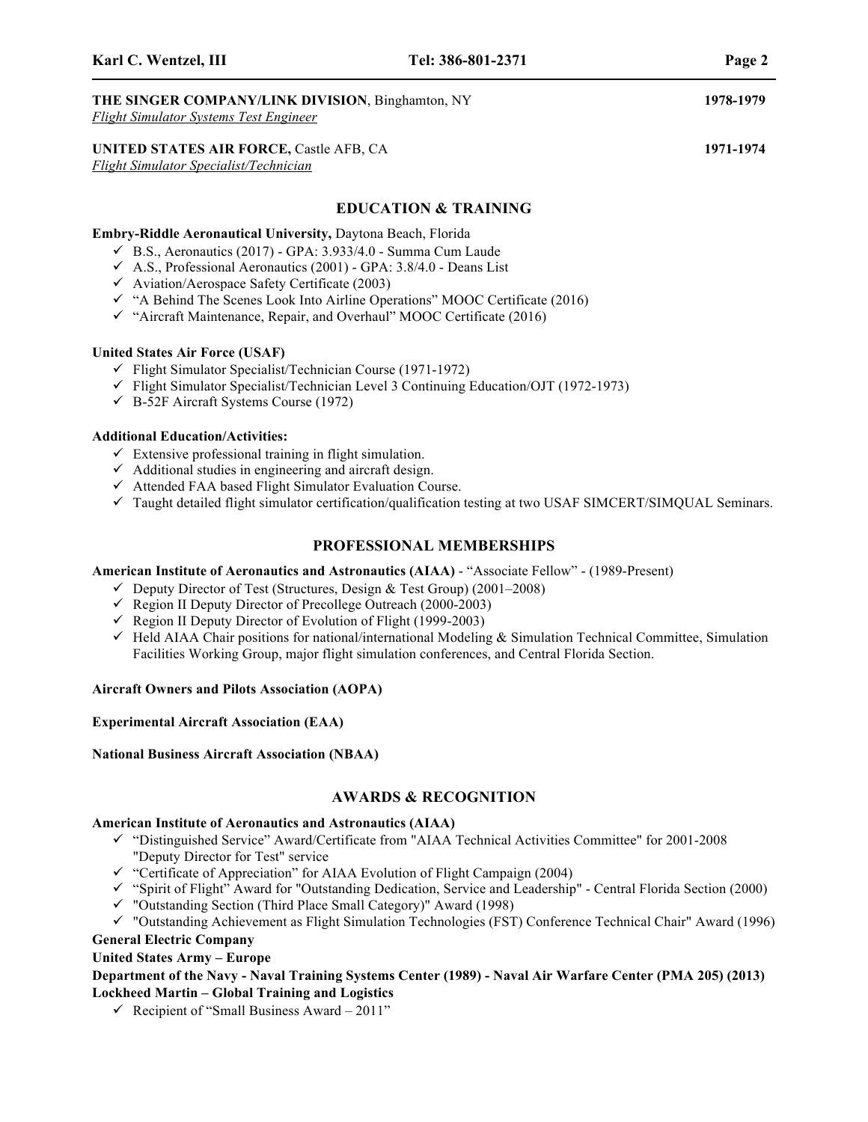## **THE SINGER COMPANY/LINK DIVISION**, Binghamton, NY **1978-1979**

*Flight Simulator Systems Test Engineer*

### **UNITED STATES AIR FORCE,** Castle AFB, CA **1971-1974**

*Flight Simulator Specialist/Technician*

#### **EDUCATION & TRAINING**

#### **Embry-Riddle Aeronautical University,** Daytona Beach, Florida

- $\checkmark$  B.S., Aeronautics (2017) GPA: 3.933/4.0 Summa Cum Laude
- $\checkmark$  A.S., Professional Aeronautics (2001) GPA: 3.8/4.0 Deans List
- $\checkmark$  Aviation/Aerospace Safety Certificate (2003)
- $\checkmark$  "A Behind The Scenes Look Into Airline Operations" MOOC Certificate (2016)
- $\checkmark$  "Aircraft Maintenance, Repair, and Overhaul" MOOC Certificate (2016)

#### **United States Air Force (USAF)**

- $\checkmark$  Flight Simulator Specialist/Technician Course (1971-1972)
- $\checkmark$  Flight Simulator Specialist/Technician Level 3 Continuing Education/OJT (1972-1973)
- $\checkmark$  B-52F Aircraft Systems Course (1972)

#### **Additional Education/Activities:**

- $\checkmark$  Extensive professional training in flight simulation.
- $\checkmark$  Additional studies in engineering and aircraft design.
- $\checkmark$  Attended FAA based Flight Simulator Evaluation Course.
- $\checkmark$  Taught detailed flight simulator certification/qualification testing at two USAF SIMCERT/SIMQUAL Seminars.

#### **PROFESSIONAL MEMBERSHIPS**

#### **American Institute of Aeronautics and Astronautics (AIAA)** - "Associate Fellow" - (1989-Present)

- $\checkmark$  Deputy Director of Test (Structures, Design & Test Group) (2001–2008)
- $\checkmark$  Region II Deputy Director of Precollege Outreach (2000-2003)
- Region II Deputy Director of Evolution of Flight (1999-2003)
- $\checkmark$  Held AIAA Chair positions for national/international Modeling & Simulation Technical Committee, Simulation Facilities Working Group, major flight simulation conferences, and Central Florida Section.

#### **Aircraft Owners and Pilots Association (AOPA)**

#### **Experimental Aircraft Association (EAA)**

#### **National Business Aircraft Association (NBAA)**

#### **AWARDS & RECOGNITION**

#### **American Institute of Aeronautics and Astronautics (AIAA)**

- ! "Distinguished Service" Award/Certificate from "AIAA Technical Activities Committee" for 2001-2008 "Deputy Director for Test" service
- $\checkmark$  "Certificate of Appreciation" for AIAA Evolution of Flight Campaign (2004)
- ! "Spirit of Flight" Award for "Outstanding Dedication, Service and Leadership" Central Florida Section (2000)
- ! "Outstanding Section (Third Place Small Category)" Award (1998)
- ! "Outstanding Achievement as Flight Simulation Technologies (FST) Conference Technical Chair" Award (1996) **General Electric Company**

### **United States Army – Europe**

**Department of the Navy - Naval Training Systems Center (1989) - Naval Air Warfare Center (PMA 205) (2013) Lockheed Martin – Global Training and Logistics**

 $\checkmark$  Recipient of "Small Business Award – 2011"